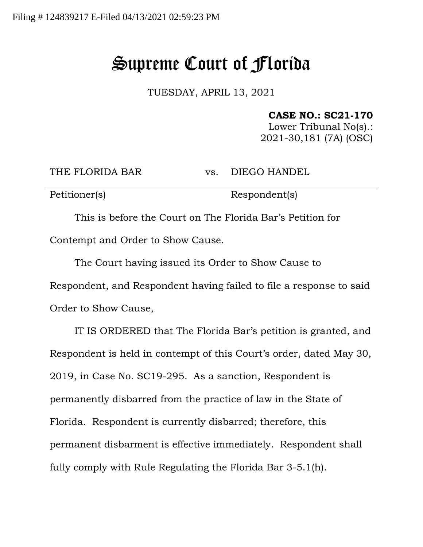## Supreme Court of Florida

TUESDAY, APRIL 13, 2021

## **CASE NO.: SC21-170**

Lower Tribunal No(s).: 2021-30,181 (7A) (OSC)

THE FLORIDA BAR vs. DIEGO HANDEL

Petitioner(s) Respondent(s)

This is before the Court on The Florida Bar's Petition for Contempt and Order to Show Cause.

The Court having issued its Order to Show Cause to Respondent, and Respondent having failed to file a response to said Order to Show Cause,

IT IS ORDERED that The Florida Bar's petition is granted, and Respondent is held in contempt of this Court's order, dated May 30, 2019, in Case No. SC19-295. As a sanction, Respondent is permanently disbarred from the practice of law in the State of Florida. Respondent is currently disbarred; therefore, this permanent disbarment is effective immediately. Respondent shall fully comply with Rule Regulating the Florida Bar 3-5.1(h).